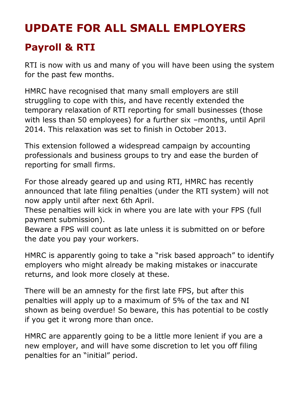## **UPDATE FOR ALL SMALL EMPLOYERS**

## **Payroll & RTI**

RTI is now with us and many of you will have been using the system for the past few months.

HMRC have recognised that many small employers are still struggling to cope with this, and have recently extended the temporary relaxation of RTI reporting for small businesses (those with less than 50 employees) for a further six –months, until April 2014. This relaxation was set to finish in October 2013.

This extension followed a widespread campaign by accounting professionals and business groups to try and ease the burden of reporting for small firms.

For those already geared up and using RTI, HMRC has recently announced that late filing penalties (under the RTI system) will not now apply until after next 6th April.

These penalties will kick in where you are late with your FPS (full payment submission).

Beware a FPS will count as late unless it is submitted on or before the date you pay your workers.

HMRC is apparently going to take a "risk based approach" to identify employers who might already be making mistakes or inaccurate returns, and look more closely at these.

There will be an amnesty for the first late FPS, but after this penalties will apply up to a maximum of 5% of the tax and NI shown as being overdue! So beware, this has potential to be costly if you get it wrong more than once.

HMRC are apparently going to be a little more lenient if you are a new employer, and will have some discretion to let you off filing penalties for an "initial" period.